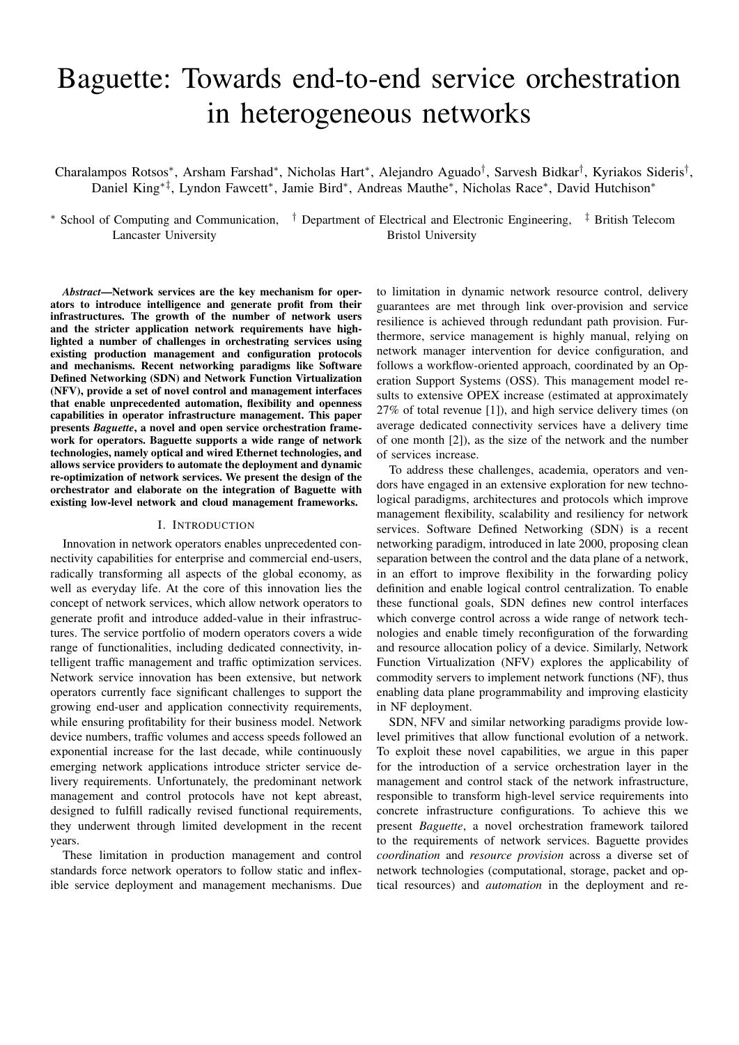# Baguette: Towards end-to-end service orchestration in heterogeneous networks

Charalampos Rotsos\*, Arsham Farshad\*, Nicholas Hart\*, Alejandro Aguado<sup>†</sup>, Sarvesh Bidkar<sup>†</sup>, Kyriakos Sideris<sup>†</sup>, Daniel King<sup>\*‡</sup>, Lyndon Fawcett<sup>\*</sup>, Jamie Bird<sup>\*</sup>, Andreas Mauthe<sup>\*</sup>, Nicholas Race<sup>\*</sup>, David Hutchison<sup>\*</sup>

<sup>∗</sup> School of Computing and Communication, † Department of Electrical and Electronic Engineering, ‡ British Telecom Lancaster University Bristol University

*Abstract*—Network services are the key mechanism for operators to introduce intelligence and generate profit from their infrastructures. The growth of the number of network users and the stricter application network requirements have highlighted a number of challenges in orchestrating services using existing production management and configuration protocols and mechanisms. Recent networking paradigms like Software Defined Networking (SDN) and Network Function Virtualization (NFV), provide a set of novel control and management interfaces that enable unprecedented automation, flexibility and openness capabilities in operator infrastructure management. This paper presents *Baguette*, a novel and open service orchestration framework for operators. Baguette supports a wide range of network technologies, namely optical and wired Ethernet technologies, and allows service providers to automate the deployment and dynamic re-optimization of network services. We present the design of the orchestrator and elaborate on the integration of Baguette with existing low-level network and cloud management frameworks.

# I. INTRODUCTION

Innovation in network operators enables unprecedented connectivity capabilities for enterprise and commercial end-users, radically transforming all aspects of the global economy, as well as everyday life. At the core of this innovation lies the concept of network services, which allow network operators to generate profit and introduce added-value in their infrastructures. The service portfolio of modern operators covers a wide range of functionalities, including dedicated connectivity, intelligent traffic management and traffic optimization services. Network service innovation has been extensive, but network operators currently face significant challenges to support the growing end-user and application connectivity requirements, while ensuring profitability for their business model. Network device numbers, traffic volumes and access speeds followed an exponential increase for the last decade, while continuously emerging network applications introduce stricter service delivery requirements. Unfortunately, the predominant network management and control protocols have not kept abreast, designed to fulfill radically revised functional requirements, they underwent through limited development in the recent years.

These limitation in production management and control standards force network operators to follow static and inflexible service deployment and management mechanisms. Due

to limitation in dynamic network resource control, delivery guarantees are met through link over-provision and service resilience is achieved through redundant path provision. Furthermore, service management is highly manual, relying on network manager intervention for device configuration, and follows a workflow-oriented approach, coordinated by an Operation Support Systems (OSS). This management model results to extensive OPEX increase (estimated at approximately 27% of total revenue [1]), and high service delivery times (on average dedicated connectivity services have a delivery time of one month [2]), as the size of the network and the number of services increase.

To address these challenges, academia, operators and vendors have engaged in an extensive exploration for new technological paradigms, architectures and protocols which improve management flexibility, scalability and resiliency for network services. Software Defined Networking (SDN) is a recent networking paradigm, introduced in late 2000, proposing clean separation between the control and the data plane of a network, in an effort to improve flexibility in the forwarding policy definition and enable logical control centralization. To enable these functional goals, SDN defines new control interfaces which converge control across a wide range of network technologies and enable timely reconfiguration of the forwarding and resource allocation policy of a device. Similarly, Network Function Virtualization (NFV) explores the applicability of commodity servers to implement network functions (NF), thus enabling data plane programmability and improving elasticity in NF deployment.

SDN, NFV and similar networking paradigms provide lowlevel primitives that allow functional evolution of a network. To exploit these novel capabilities, we argue in this paper for the introduction of a service orchestration layer in the management and control stack of the network infrastructure, responsible to transform high-level service requirements into concrete infrastructure configurations. To achieve this we present *Baguette*, a novel orchestration framework tailored to the requirements of network services. Baguette provides *coordination* and *resource provision* across a diverse set of network technologies (computational, storage, packet and optical resources) and *automation* in the deployment and re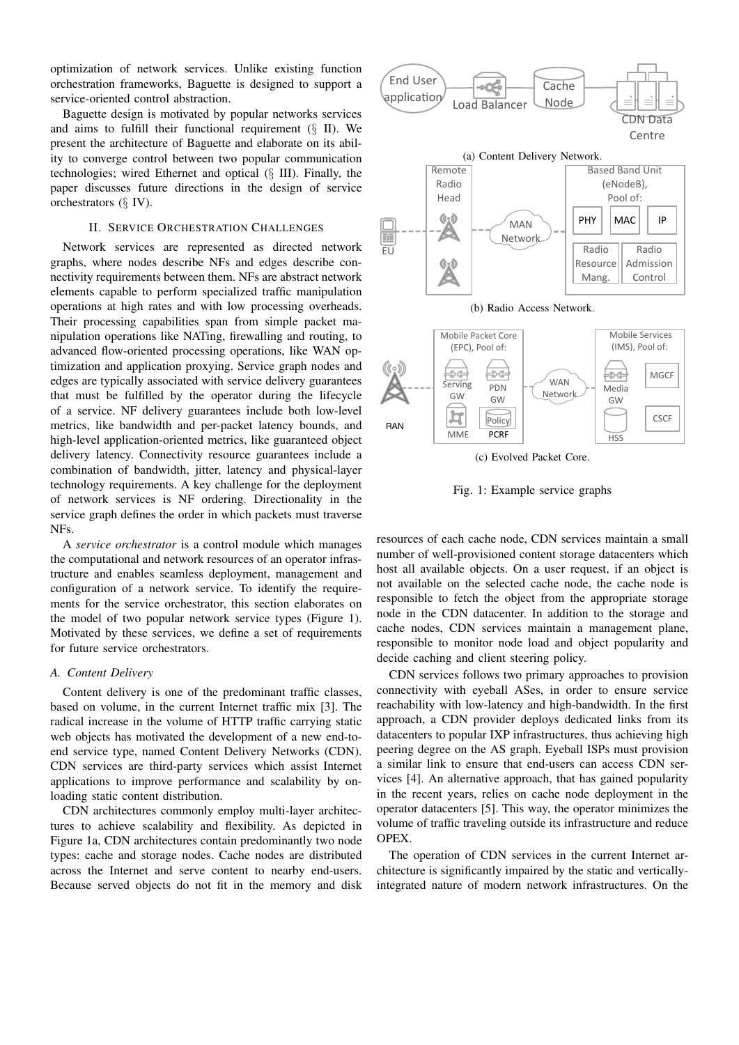optimization of network services. Unlike existing function orchestration frameworks, Baguette is designed to support a service-oriented control abstraction.

Baguette design is motivated by popular networks services and aims to fulfill their functional requirement  $(\S$  II). We present the architecture of Baguette and elaborate on its ability to converge control between two popular communication technologies; wired Ethernet and optical (§ III). Finally, the paper discusses future directions in the design of service orchestrators (§ IV).

# II. SERVICE ORCHESTRATION CHALLENGES

Network services are represented as directed network graphs, where nodes describe NFs and edges describe connectivity requirements between them. NFs are abstract network elements capable to perform specialized traffic manipulation operations at high rates and with low processing overheads. Their processing capabilities span from simple packet manipulation operations like NATing, firewalling and routing, to advanced flow-oriented processing operations, like WAN optimization and application proxying. Service graph nodes and edges are typically associated with service delivery guarantees that must be fulfilled by the operator during the lifecycle of a service. NF delivery guarantees include both low-level metrics, like bandwidth and per-packet latency bounds, and high-level application-oriented metrics, like guaranteed object delivery latency. Connectivity resource guarantees include a combination of bandwidth, jitter, latency and physical-layer technology requirements. A key challenge for the deployment of network services is NF ordering. Directionality in the service graph defines the order in which packets must traverse NFs.

A *service orchestrator* is a control module which manages the computational and network resources of an operator infrastructure and enables seamless deployment, management and configuration of a network service. To identify the requirements for the service orchestrator, this section elaborates on the model of two popular network service types (Figure 1). Motivated by these services, we define a set of requirements for future service orchestrators.

## *A. Content Delivery*

Content delivery is one of the predominant traffic classes, based on volume, in the current Internet traffic mix [3]. The radical increase in the volume of HTTP traffic carrying static web objects has motivated the development of a new end-toend service type, named Content Delivery Networks (CDN). CDN services are third-party services which assist Internet applications to improve performance and scalability by onloading static content distribution.

CDN architectures commonly employ multi-layer architectures to achieve scalability and flexibility. As depicted in Figure 1a, CDN architectures contain predominantly two node types: cache and storage nodes. Cache nodes are distributed across the Internet and serve content to nearby end-users. Because served objects do not fit in the memory and disk





(c) Evolved Packet Core.

Fig. 1: Example service graphs

resources of each cache node, CDN services maintain a small number of well-provisioned content storage datacenters which host all available objects. On a user request, if an object is not available on the selected cache node, the cache node is responsible to fetch the object from the appropriate storage node in the CDN datacenter. In addition to the storage and cache nodes, CDN services maintain a management plane, responsible to monitor node load and object popularity and decide caching and client steering policy.

CDN services follows two primary approaches to provision connectivity with eyeball ASes, in order to ensure service reachability with low-latency and high-bandwidth. In the first approach, a CDN provider deploys dedicated links from its datacenters to popular IXP infrastructures, thus achieving high peering degree on the AS graph. Eyeball ISPs must provision a similar link to ensure that end-users can access CDN services [4]. An alternative approach, that has gained popularity in the recent years, relies on cache node deployment in the operator datacenters [5]. This way, the operator minimizes the volume of traffic traveling outside its infrastructure and reduce OPEX.

The operation of CDN services in the current Internet architecture is significantly impaired by the static and verticallyintegrated nature of modern network infrastructures. On the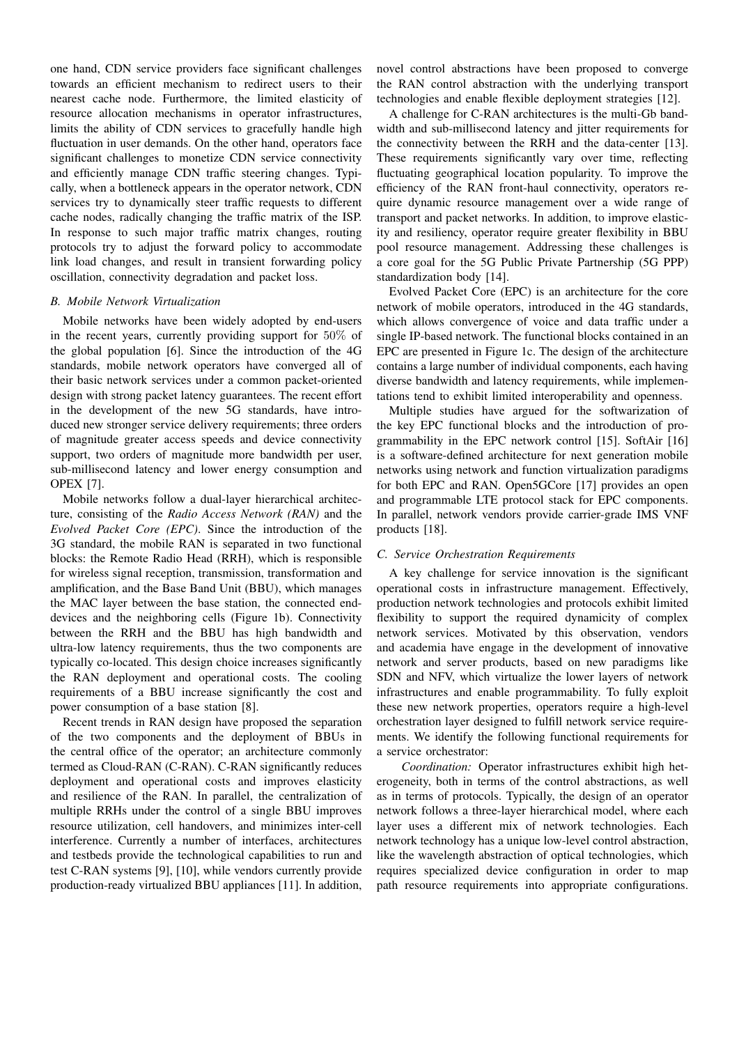one hand, CDN service providers face significant challenges towards an efficient mechanism to redirect users to their nearest cache node. Furthermore, the limited elasticity of resource allocation mechanisms in operator infrastructures, limits the ability of CDN services to gracefully handle high fluctuation in user demands. On the other hand, operators face significant challenges to monetize CDN service connectivity and efficiently manage CDN traffic steering changes. Typically, when a bottleneck appears in the operator network, CDN services try to dynamically steer traffic requests to different cache nodes, radically changing the traffic matrix of the ISP. In response to such major traffic matrix changes, routing protocols try to adjust the forward policy to accommodate link load changes, and result in transient forwarding policy oscillation, connectivity degradation and packet loss.

# *B. Mobile Network Virtualization*

Mobile networks have been widely adopted by end-users in the recent years, currently providing support for 50% of the global population [6]. Since the introduction of the 4G standards, mobile network operators have converged all of their basic network services under a common packet-oriented design with strong packet latency guarantees. The recent effort in the development of the new 5G standards, have introduced new stronger service delivery requirements; three orders of magnitude greater access speeds and device connectivity support, two orders of magnitude more bandwidth per user, sub-millisecond latency and lower energy consumption and OPEX [7].

Mobile networks follow a dual-layer hierarchical architecture, consisting of the *Radio Access Network (RAN)* and the *Evolved Packet Core (EPC)*. Since the introduction of the 3G standard, the mobile RAN is separated in two functional blocks: the Remote Radio Head (RRH), which is responsible for wireless signal reception, transmission, transformation and amplification, and the Base Band Unit (BBU), which manages the MAC layer between the base station, the connected enddevices and the neighboring cells (Figure 1b). Connectivity between the RRH and the BBU has high bandwidth and ultra-low latency requirements, thus the two components are typically co-located. This design choice increases significantly the RAN deployment and operational costs. The cooling requirements of a BBU increase significantly the cost and power consumption of a base station [8].

Recent trends in RAN design have proposed the separation of the two components and the deployment of BBUs in the central office of the operator; an architecture commonly termed as Cloud-RAN (C-RAN). C-RAN significantly reduces deployment and operational costs and improves elasticity and resilience of the RAN. In parallel, the centralization of multiple RRHs under the control of a single BBU improves resource utilization, cell handovers, and minimizes inter-cell interference. Currently a number of interfaces, architectures and testbeds provide the technological capabilities to run and test C-RAN systems [9], [10], while vendors currently provide production-ready virtualized BBU appliances [11]. In addition,

novel control abstractions have been proposed to converge the RAN control abstraction with the underlying transport technologies and enable flexible deployment strategies [12].

A challenge for C-RAN architectures is the multi-Gb bandwidth and sub-millisecond latency and jitter requirements for the connectivity between the RRH and the data-center [13]. These requirements significantly vary over time, reflecting fluctuating geographical location popularity. To improve the efficiency of the RAN front-haul connectivity, operators require dynamic resource management over a wide range of transport and packet networks. In addition, to improve elasticity and resiliency, operator require greater flexibility in BBU pool resource management. Addressing these challenges is a core goal for the 5G Public Private Partnership (5G PPP) standardization body [14].

Evolved Packet Core (EPC) is an architecture for the core network of mobile operators, introduced in the 4G standards, which allows convergence of voice and data traffic under a single IP-based network. The functional blocks contained in an EPC are presented in Figure 1c. The design of the architecture contains a large number of individual components, each having diverse bandwidth and latency requirements, while implementations tend to exhibit limited interoperability and openness.

Multiple studies have argued for the softwarization of the key EPC functional blocks and the introduction of programmability in the EPC network control [15]. SoftAir [16] is a software-defined architecture for next generation mobile networks using network and function virtualization paradigms for both EPC and RAN. Open5GCore [17] provides an open and programmable LTE protocol stack for EPC components. In parallel, network vendors provide carrier-grade IMS VNF products [18].

# *C. Service Orchestration Requirements*

A key challenge for service innovation is the significant operational costs in infrastructure management. Effectively, production network technologies and protocols exhibit limited flexibility to support the required dynamicity of complex network services. Motivated by this observation, vendors and academia have engage in the development of innovative network and server products, based on new paradigms like SDN and NFV, which virtualize the lower layers of network infrastructures and enable programmability. To fully exploit these new network properties, operators require a high-level orchestration layer designed to fulfill network service requirements. We identify the following functional requirements for a service orchestrator:

*Coordination:* Operator infrastructures exhibit high heterogeneity, both in terms of the control abstractions, as well as in terms of protocols. Typically, the design of an operator network follows a three-layer hierarchical model, where each layer uses a different mix of network technologies. Each network technology has a unique low-level control abstraction, like the wavelength abstraction of optical technologies, which requires specialized device configuration in order to map path resource requirements into appropriate configurations.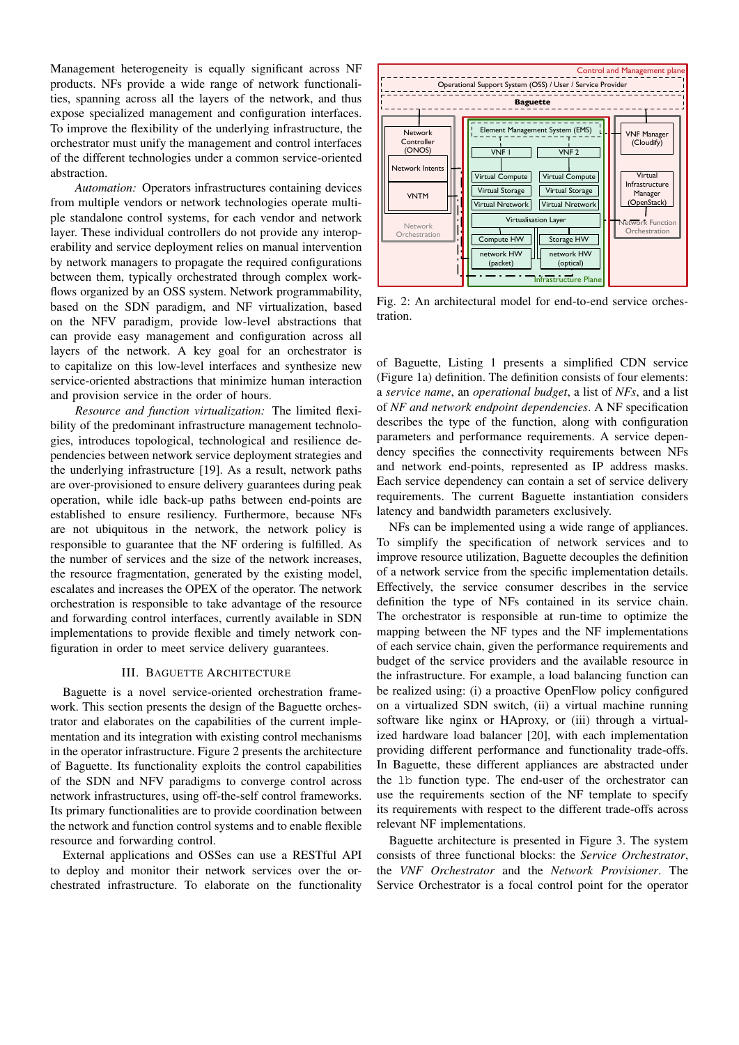Management heterogeneity is equally significant across NF products. NFs provide a wide range of network functionalities, spanning across all the layers of the network, and thus expose specialized management and configuration interfaces. To improve the flexibility of the underlying infrastructure, the orchestrator must unify the management and control interfaces of the different technologies under a common service-oriented abstraction.

*Automation:* Operators infrastructures containing devices from multiple vendors or network technologies operate multiple standalone control systems, for each vendor and network layer. These individual controllers do not provide any interoperability and service deployment relies on manual intervention by network managers to propagate the required configurations between them, typically orchestrated through complex workflows organized by an OSS system. Network programmability, based on the SDN paradigm, and NF virtualization, based on the NFV paradigm, provide low-level abstractions that can provide easy management and configuration across all layers of the network. A key goal for an orchestrator is to capitalize on this low-level interfaces and synthesize new service-oriented abstractions that minimize human interaction and provision service in the order of hours.

*Resource and function virtualization:* The limited flexibility of the predominant infrastructure management technologies, introduces topological, technological and resilience dependencies between network service deployment strategies and the underlying infrastructure [19]. As a result, network paths are over-provisioned to ensure delivery guarantees during peak operation, while idle back-up paths between end-points are established to ensure resiliency. Furthermore, because NFs are not ubiquitous in the network, the network policy is responsible to guarantee that the NF ordering is fulfilled. As the number of services and the size of the network increases, the resource fragmentation, generated by the existing model, escalates and increases the OPEX of the operator. The network orchestration is responsible to take advantage of the resource and forwarding control interfaces, currently available in SDN implementations to provide flexible and timely network configuration in order to meet service delivery guarantees.

#### III. BAGUETTE ARCHITECTURE

Baguette is a novel service-oriented orchestration framework. This section presents the design of the Baguette orchestrator and elaborates on the capabilities of the current implementation and its integration with existing control mechanisms in the operator infrastructure. Figure 2 presents the architecture of Baguette. Its functionality exploits the control capabilities of the SDN and NFV paradigms to converge control across network infrastructures, using off-the-self control frameworks. Its primary functionalities are to provide coordination between the network and function control systems and to enable flexible resource and forwarding control.

External applications and OSSes can use a RESTful API to deploy and monitor their network services over the orchestrated infrastructure. To elaborate on the functionality



Fig. 2: An architectural model for end-to-end service orchestration.

of Baguette, Listing 1 presents a simplified CDN service (Figure 1a) definition. The definition consists of four elements: a *service name*, an *operational budget*, a list of *NFs*, and a list of *NF and network endpoint dependencies*. A NF specification describes the type of the function, along with configuration parameters and performance requirements. A service dependency specifies the connectivity requirements between NFs and network end-points, represented as IP address masks. Each service dependency can contain a set of service delivery requirements. The current Baguette instantiation considers latency and bandwidth parameters exclusively.

NFs can be implemented using a wide range of appliances. To simplify the specification of network services and to improve resource utilization, Baguette decouples the definition of a network service from the specific implementation details. Effectively, the service consumer describes in the service definition the type of NFs contained in its service chain. The orchestrator is responsible at run-time to optimize the mapping between the NF types and the NF implementations of each service chain, given the performance requirements and budget of the service providers and the available resource in the infrastructure. For example, a load balancing function can be realized using: (i) a proactive OpenFlow policy configured on a virtualized SDN switch, (ii) a virtual machine running software like nginx or HAproxy, or (iii) through a virtualized hardware load balancer [20], with each implementation providing different performance and functionality trade-offs. In Baguette, these different appliances are abstracted under the lb function type. The end-user of the orchestrator can use the requirements section of the NF template to specify its requirements with respect to the different trade-offs across relevant NF implementations.

Baguette architecture is presented in Figure 3. The system consists of three functional blocks: the *Service Orchestrator*, the *VNF Orchestrator* and the *Network Provisioner*. The Service Orchestrator is a focal control point for the operator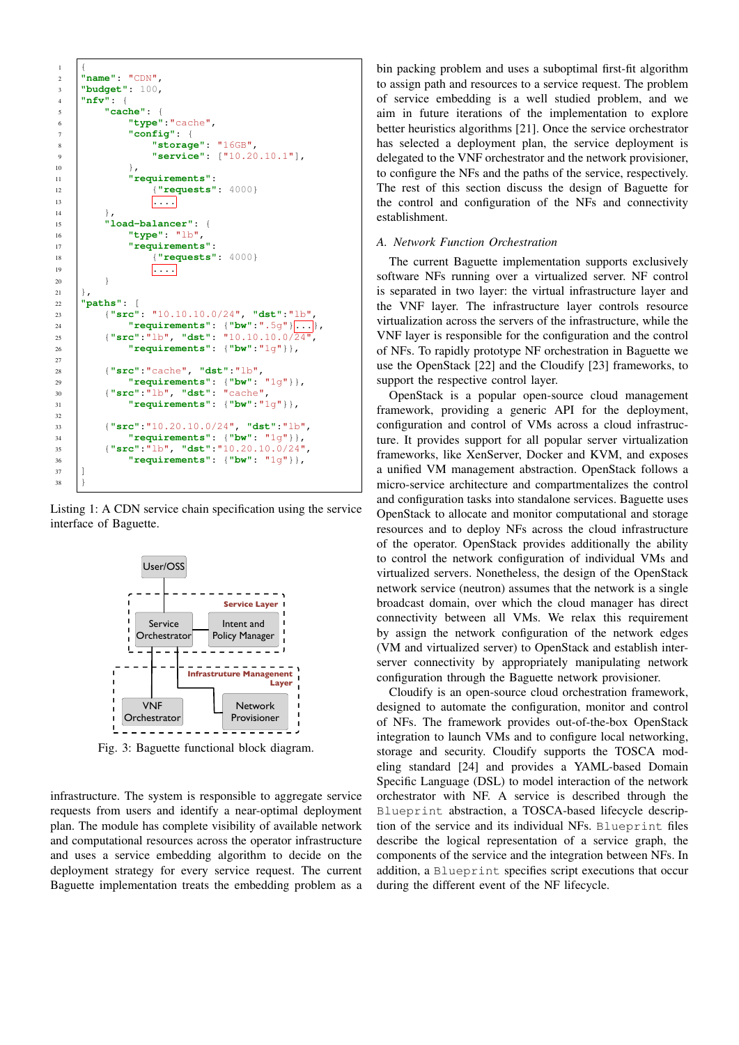

Listing 1: A CDN service chain specification using the service interface of Baguette.



Fig. 3: Baguette functional block diagram.

infrastructure. The system is responsible to aggregate service requests from users and identify a near-optimal deployment plan. The module has complete visibility of available network and computational resources across the operator infrastructure and uses a service embedding algorithm to decide on the deployment strategy for every service request. The current Baguette implementation treats the embedding problem as a

bin packing problem and uses a suboptimal first-fit algorithm to assign path and resources to a service request. The problem of service embedding is a well studied problem, and we aim in future iterations of the implementation to explore better heuristics algorithms [21]. Once the service orchestrator has selected a deployment plan, the service deployment is delegated to the VNF orchestrator and the network provisioner, to configure the NFs and the paths of the service, respectively. The rest of this section discuss the design of Baguette for the control and configuration of the NFs and connectivity establishment.

# *A. Network Function Orchestration*

The current Baguette implementation supports exclusively software NFs running over a virtualized server. NF control is separated in two layer: the virtual infrastructure layer and the VNF layer. The infrastructure layer controls resource virtualization across the servers of the infrastructure, while the VNF layer is responsible for the configuration and the control of NFs. To rapidly prototype NF orchestration in Baguette we use the OpenStack [22] and the Cloudify [23] frameworks, to support the respective control layer.

OpenStack is a popular open-source cloud management framework, providing a generic API for the deployment, configuration and control of VMs across a cloud infrastructure. It provides support for all popular server virtualization frameworks, like XenServer, Docker and KVM, and exposes a unified VM management abstraction. OpenStack follows a micro-service architecture and compartmentalizes the control and configuration tasks into standalone services. Baguette uses OpenStack to allocate and monitor computational and storage resources and to deploy NFs across the cloud infrastructure of the operator. OpenStack provides additionally the ability to control the network configuration of individual VMs and virtualized servers. Nonetheless, the design of the OpenStack network service (neutron) assumes that the network is a single broadcast domain, over which the cloud manager has direct connectivity between all VMs. We relax this requirement by assign the network configuration of the network edges (VM and virtualized server) to OpenStack and establish interserver connectivity by appropriately manipulating network configuration through the Baguette network provisioner.

Cloudify is an open-source cloud orchestration framework, designed to automate the configuration, monitor and control of NFs. The framework provides out-of-the-box OpenStack integration to launch VMs and to configure local networking, storage and security. Cloudify supports the TOSCA modeling standard [24] and provides a YAML-based Domain Specific Language (DSL) to model interaction of the network orchestrator with NF. A service is described through the Blueprint abstraction, a TOSCA-based lifecycle description of the service and its individual NFs. Blueprint files describe the logical representation of a service graph, the components of the service and the integration between NFs. In addition, a Blueprint specifies script executions that occur during the different event of the NF lifecycle.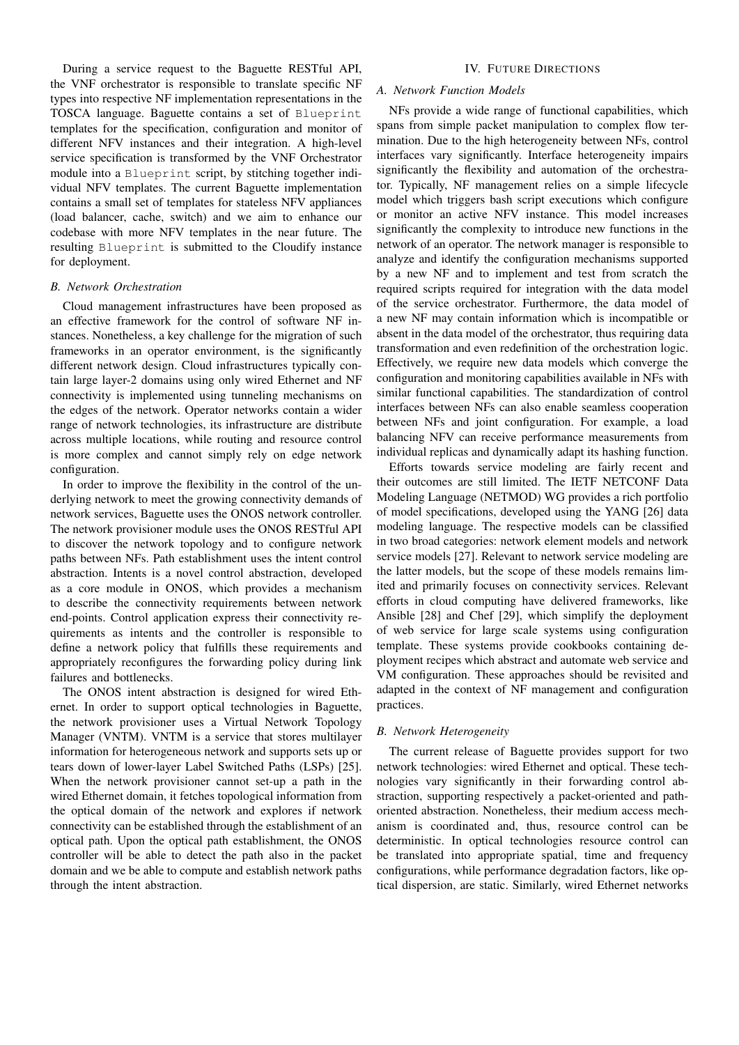During a service request to the Baguette RESTful API, the VNF orchestrator is responsible to translate specific NF types into respective NF implementation representations in the TOSCA language. Baguette contains a set of Blueprint templates for the specification, configuration and monitor of different NFV instances and their integration. A high-level service specification is transformed by the VNF Orchestrator module into a Blueprint script, by stitching together individual NFV templates. The current Baguette implementation contains a small set of templates for stateless NFV appliances (load balancer, cache, switch) and we aim to enhance our codebase with more NFV templates in the near future. The resulting Blueprint is submitted to the Cloudify instance for deployment.

#### *B. Network Orchestration*

Cloud management infrastructures have been proposed as an effective framework for the control of software NF instances. Nonetheless, a key challenge for the migration of such frameworks in an operator environment, is the significantly different network design. Cloud infrastructures typically contain large layer-2 domains using only wired Ethernet and NF connectivity is implemented using tunneling mechanisms on the edges of the network. Operator networks contain a wider range of network technologies, its infrastructure are distribute across multiple locations, while routing and resource control is more complex and cannot simply rely on edge network configuration.

In order to improve the flexibility in the control of the underlying network to meet the growing connectivity demands of network services, Baguette uses the ONOS network controller. The network provisioner module uses the ONOS RESTful API to discover the network topology and to configure network paths between NFs. Path establishment uses the intent control abstraction. Intents is a novel control abstraction, developed as a core module in ONOS, which provides a mechanism to describe the connectivity requirements between network end-points. Control application express their connectivity requirements as intents and the controller is responsible to define a network policy that fulfills these requirements and appropriately reconfigures the forwarding policy during link failures and bottlenecks.

The ONOS intent abstraction is designed for wired Ethernet. In order to support optical technologies in Baguette, the network provisioner uses a Virtual Network Topology Manager (VNTM). VNTM is a service that stores multilayer information for heterogeneous network and supports sets up or tears down of lower-layer Label Switched Paths (LSPs) [25]. When the network provisioner cannot set-up a path in the wired Ethernet domain, it fetches topological information from the optical domain of the network and explores if network connectivity can be established through the establishment of an optical path. Upon the optical path establishment, the ONOS controller will be able to detect the path also in the packet domain and we be able to compute and establish network paths through the intent abstraction.

#### IV. FUTURE DIRECTIONS

# *A. Network Function Models*

NFs provide a wide range of functional capabilities, which spans from simple packet manipulation to complex flow termination. Due to the high heterogeneity between NFs, control interfaces vary significantly. Interface heterogeneity impairs significantly the flexibility and automation of the orchestrator. Typically, NF management relies on a simple lifecycle model which triggers bash script executions which configure or monitor an active NFV instance. This model increases significantly the complexity to introduce new functions in the network of an operator. The network manager is responsible to analyze and identify the configuration mechanisms supported by a new NF and to implement and test from scratch the required scripts required for integration with the data model of the service orchestrator. Furthermore, the data model of a new NF may contain information which is incompatible or absent in the data model of the orchestrator, thus requiring data transformation and even redefinition of the orchestration logic. Effectively, we require new data models which converge the configuration and monitoring capabilities available in NFs with similar functional capabilities. The standardization of control interfaces between NFs can also enable seamless cooperation between NFs and joint configuration. For example, a load balancing NFV can receive performance measurements from individual replicas and dynamically adapt its hashing function.

Efforts towards service modeling are fairly recent and their outcomes are still limited. The IETF NETCONF Data Modeling Language (NETMOD) WG provides a rich portfolio of model specifications, developed using the YANG [26] data modeling language. The respective models can be classified in two broad categories: network element models and network service models [27]. Relevant to network service modeling are the latter models, but the scope of these models remains limited and primarily focuses on connectivity services. Relevant efforts in cloud computing have delivered frameworks, like Ansible [28] and Chef [29], which simplify the deployment of web service for large scale systems using configuration template. These systems provide cookbooks containing deployment recipes which abstract and automate web service and VM configuration. These approaches should be revisited and adapted in the context of NF management and configuration practices.

## *B. Network Heterogeneity*

The current release of Baguette provides support for two network technologies: wired Ethernet and optical. These technologies vary significantly in their forwarding control abstraction, supporting respectively a packet-oriented and pathoriented abstraction. Nonetheless, their medium access mechanism is coordinated and, thus, resource control can be deterministic. In optical technologies resource control can be translated into appropriate spatial, time and frequency configurations, while performance degradation factors, like optical dispersion, are static. Similarly, wired Ethernet networks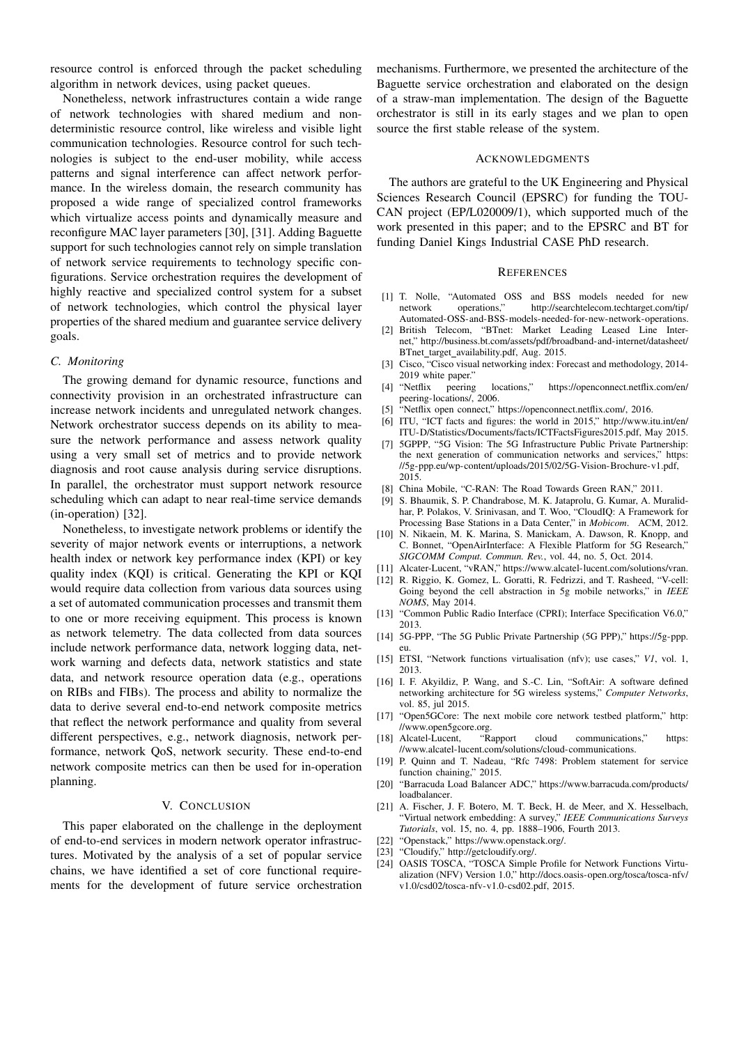resource control is enforced through the packet scheduling algorithm in network devices, using packet queues.

Nonetheless, network infrastructures contain a wide range of network technologies with shared medium and nondeterministic resource control, like wireless and visible light communication technologies. Resource control for such technologies is subject to the end-user mobility, while access patterns and signal interference can affect network performance. In the wireless domain, the research community has proposed a wide range of specialized control frameworks which virtualize access points and dynamically measure and reconfigure MAC layer parameters [30], [31]. Adding Baguette support for such technologies cannot rely on simple translation of network service requirements to technology specific configurations. Service orchestration requires the development of highly reactive and specialized control system for a subset of network technologies, which control the physical layer properties of the shared medium and guarantee service delivery goals.

# *C. Monitoring*

The growing demand for dynamic resource, functions and connectivity provision in an orchestrated infrastructure can increase network incidents and unregulated network changes. Network orchestrator success depends on its ability to measure the network performance and assess network quality using a very small set of metrics and to provide network diagnosis and root cause analysis during service disruptions. In parallel, the orchestrator must support network resource scheduling which can adapt to near real-time service demands (in-operation) [32].

Nonetheless, to investigate network problems or identify the severity of major network events or interruptions, a network health index or network key performance index (KPI) or key quality index (KQI) is critical. Generating the KPI or KQI would require data collection from various data sources using a set of automated communication processes and transmit them to one or more receiving equipment. This process is known as network telemetry. The data collected from data sources include network performance data, network logging data, network warning and defects data, network statistics and state data, and network resource operation data (e.g., operations on RIBs and FIBs). The process and ability to normalize the data to derive several end-to-end network composite metrics that reflect the network performance and quality from several different perspectives, e.g., network diagnosis, network performance, network QoS, network security. These end-to-end network composite metrics can then be used for in-operation planning.

## V. CONCLUSION

This paper elaborated on the challenge in the deployment of end-to-end services in modern network operator infrastructures. Motivated by the analysis of a set of popular service chains, we have identified a set of core functional requirements for the development of future service orchestration

mechanisms. Furthermore, we presented the architecture of the Baguette service orchestration and elaborated on the design of a straw-man implementation. The design of the Baguette orchestrator is still in its early stages and we plan to open source the first stable release of the system.

#### ACKNOWLEDGMENTS

The authors are grateful to the UK Engineering and Physical Sciences Research Council (EPSRC) for funding the TOU-CAN project (EP/L020009/1), which supported much of the work presented in this paper; and to the EPSRC and BT for funding Daniel Kings Industrial CASE PhD research.

#### **REFERENCES**

- [1] T. Nolle, "Automated OSS and BSS models needed for new network operations," http://searchtelecom.techtarget.com/tip/ Automated-OSS-and-BSS-models-needed-for-new-network-operations.
- [2] British Telecom, "BTnet: Market Leading Leased Line Internet," http://business.bt.com/assets/pdf/broadband-and-internet/datasheet/ BTnet target availability.pdf, Aug. 2015.
- [3] Cisco, "Cisco visual networking index: Forecast and methodology, 2014- 2019 white paper."<br>[4] "Netflix peering
- locations," https://openconnect.netflix.com/en/ peering-locations/, 2006.
- [5] "Netflix open connect," https://openconnect.netflix.com/, 2016.
- [6] ITU, "ICT facts and figures: the world in 2015," http://www.itu.int/en/ ITU-D/Statistics/Documents/facts/ICTFactsFigures2015.pdf, May 2015.
- [7] 5GPPP, "5G Vision: The 5G Infrastructure Public Private Partnership: the next generation of communication networks and services," https: //5g-ppp.eu/wp-content/uploads/2015/02/5G-Vision-Brochure-v1.pdf, 2015.
- [8] China Mobile, "C-RAN: The Road Towards Green RAN," 2011.
- [9] S. Bhaumik, S. P. Chandrabose, M. K. Jataprolu, G. Kumar, A. Muralidhar, P. Polakos, V. Srinivasan, and T. Woo, "CloudIQ: A Framework for Processing Base Stations in a Data Center," in *Mobicom*. ACM, 2012.
- [10] N. Nikaein, M. K. Marina, S. Manickam, A. Dawson, R. Knopp, and C. Bonnet, "OpenAirInterface: A Flexible Platform for 5G Research," *SIGCOMM Comput. Commun. Rev.*, vol. 44, no. 5, Oct. 2014.
- [11] Alcater-Lucent, "vRAN," https://www.alcatel-lucent.com/solutions/vran.
- [12] R. Riggio, K. Gomez, L. Goratti, R. Fedrizzi, and T. Rasheed, "V-cell: Going beyond the cell abstraction in 5g mobile networks," in *IEEE NOMS*, May 2014.
- [13] "Common Public Radio Interface (CPRI); Interface Specification V6.0," 2013.
- [14] 5G-PPP, "The 5G Public Private Partnership (5G PPP)," https://5g-ppp. eu.
- [15] ETSI, "Network functions virtualisation (nfv); use cases," *V1*, vol. 1, 2013.
- [16] I. F. Akyildiz, P. Wang, and S.-C. Lin, "SoftAir: A software defined networking architecture for 5G wireless systems," *Computer Networks*, vol. 85, jul 2015.
- [17] "Open5GCore: The next mobile core network testbed platform," http: //www.open5gcore.org.
- [18] Alcatel-Lucent, "Rapport cloud communications," https: //www.alcatel-lucent.com/solutions/cloud-communications.
- [19] P. Quinn and T. Nadeau, "Rfc 7498: Problem statement for service function chaining," 2015.
- [20] "Barracuda Load Balancer ADC," https://www.barracuda.com/products/ loadbalancer.
- [21] A. Fischer, J. F. Botero, M. T. Beck, H. de Meer, and X. Hesselbach, "Virtual network embedding: A survey," *IEEE Communications Surveys Tutorials*, vol. 15, no. 4, pp. 1888–1906, Fourth 2013.
- [22] "Openstack," https://www.openstack.org/.
- [23] "Cloudify," http://getcloudify.org/.
- [24] OASIS TOSCA, "TOSCA Simple Profile for Network Functions Virtualization (NFV) Version 1.0," http://docs.oasis-open.org/tosca/tosca-nfv/ v1.0/csd02/tosca-nfv-v1.0-csd02.pdf, 2015.